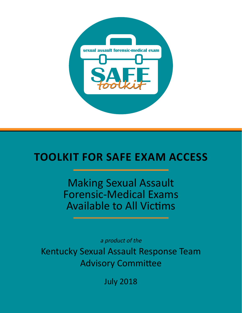

# **Toolkit for SAFE Exam Access**

Making Sexual Assault Forensic-Medical Exams Available to All Victims

a product of the

Kentucky Sexual Assault Response Team Advisory Committee

July 2018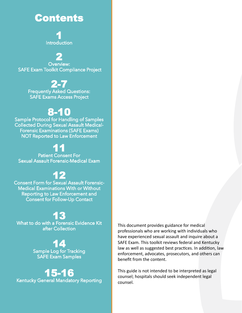# Contents

1 Introduction

2 Overview: SAFE Exam Toolkit Compliance Project

# 2-7

Frequently Asked Questions: SAFE Exams Access Project

# 8-10

Sample Protocol for Handling of Samples Collected During Sexual Assault Medical-Forensic Examinations (SAFE Exams) NOT Reported to Law Enforcement

# 11

Patient Consent For Sexual Assault Forensic-Medical Exam

# 12

Consent Form for Sexual Assault Forensic-Medical Examinations With or Without Reporting to Law Enforcement and Consent for Follow-Up Contact

# 13

What to do with a Forensic Evidence Kit after Collection

> 14 Sample Log for Tracking SAFE Exam Samples

15-16 Kentucky General Mandatory Reporting This document provides guidance for medical professionals who are working with individuals who have experienced sexual assault and inquire about a SAFE Exam. This toolkit reviews federal and Kentucky law as well as suggested best practices. In addition, law enforcement, advocates, prosecutors, and others can benefit from the content.

This guide is not intended to be interpreted as legal counsel; hospitals should seek independent legal counsel.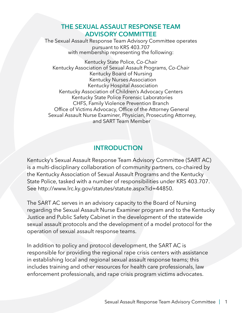## **The Sexual Assault Response Team Advisory Committee**

The Sexual Assault Response Team Advisory Committee operates pursuant to KRS 403.707 with membership representing the following:

Kentucky State Police, *Co-Chair* Kentucky Association of Sexual Assault Programs, *Co-Chair* Kentucky Board of Nursing Kentucky Nurses Association Kentucky Hospital Association Kentucky Association of Children's Advocacy Centers Kentucky State Police Forensic Laboratories CHFS, Family Violence Prevention Branch Office of Victims Advocacy, Office of the Attorney General Sexual Assault Nurse Examiner, Physician, Prosecuting Attorney, and SART Team Member

# **INTRODUCTION**

Kentucky's Sexual Assault Response Team Advisory Committee (SART AC) is a multi-disciplinary collaboration of community partners, co-chaired by the Kentucky Association of Sexual Assault Programs and the Kentucky State Police, tasked with a number of responsibilities under KRS 403.707. See http://www.lrc.ky.gov/statutes/statute.aspx?id=44850.

The SART AC serves in an advisory capacity to the Board of Nursing regarding the Sexual Assault Nurse Examiner program and to the Kentucky Justice and Public Safety Cabinet in the development of the statewide sexual assault protocols and the development of a model protocol for the operation of sexual assault response teams.

In addition to policy and protocol development, the SART AC is responsible for providing the regional rape crisis centers with assistance in establishing local and regional sexual assault response teams; this includes training and other resources for health care professionals, law enforcement professionals, and rape crisis program victims advocates.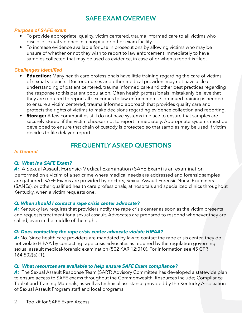# **SAFE Exam Overview**

#### *Purpose of SAFE exam*

- To provide appropriate, quality, victim centered, trauma informed care to all victims who disclose sexual violence in a hospital or other exam facility.
- To increase evidence available for use in prosecutions by allowing victims who may be unsure of whether or not they wish to report to law enforcement immediately to have samples collected that may be used as evidence, in case of or when a report is filed.

#### *Challenges identified*

- **Education:** Many health care professionals have little training regarding the care of victims of sexual violence. Doctors, nurses and other medical providers may not have a clear understanding of patient centered, trauma informed care and other best practices regarding the response to this patient population. Often health professionals mistakenly believe that they are required to report all sex crimes to law enforcement . Continued training is needed to ensure a victim centered, trauma informed approach that provides quality care and protects the rights of victims to make decisions regarding evidence collection and reporting.
- **Storage:** A few communities still do not have systems in place to ensure that samples are securely stored, if the victim chooses not to report immediately. Appropriate systems must be developed to ensure that chain of custody is protected so that samples may be used if victim decides to file delayed report.

# **Frequently Asked Questions**

#### *In General*

#### *Q: What is a SAFE Exam?*

*A:* A Sexual Assault Forensic-Medical Examination (SAFE Exam) is an examination performed on a victim of a sex crime where medical needs are addressed and forensic samples are gathered. SAFE Exams are provided by doctors, Sexual Assault Forensic Nurse Examiners (SANEs), or other qualified health care professionals, at hospitals and specialized clinics throughout Kentucky, when a victim requests one.

#### *Q: When should I contact a rape crisis center advocate?*

A: Kentucky law requires that providers notify the rape crisis center as soon as the victim presents and requests treatment for a sexual assault. Advocates are prepared to respond whenever they are called, even in the middle of the night.

#### *Q: Does contacting the rape crisis center advocate violate HIPAA?*

A: No. Since health care providers are mandated by law to contact the rape crisis center, they do not violate HIPAA by contacting rape crisis advocates as required by the regulation governing sexual assault medical-forensic examination (502 KAR 12:010). For information see 45 CFR 164.502(a) (1).

#### *Q: What resources are available to help ensure SAFE Exam compliance?*

A: The Sexual Assault Response Team (SART) Advisory Committee has developed a statewide plan to ensure access to SAFE exams throughout the Commonwealth. Resources include; Compliance Toolkit and Training Materials, as well as technical assistance provided by the Kentucky Association of Sexual Assault Program staff and local programs.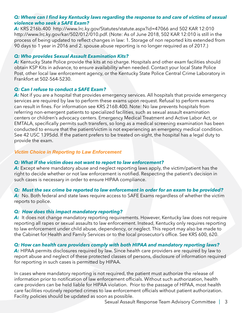#### *Q: Where can I find key Kentucky laws regarding the response to and care of victims of sexual violence who seek a SAFE Exam?*

*A:* KRS 216b.400 http://www.lrc.ky.gov/Statutes/statute.aspx?id=47066 and 502 KAR 12:010 http://www.lrc.ky.gov/kar/502/012/010.pdf. (Note: As of June 2018, 502 KAR 12:010 is still in the process of being updated to reflect changes in law: 1. Storage of non reported kits extended from 90 days to 1 year in 2016 and 2. spouse abuse reporting is no longer required as of 2017.)

#### *Q: Who provides Sexual Assault Examination Kits?*

A: Kentucky State Police provide the kits at no charge. Hospitals and other exam facilities should obtain KSP Kits in advance, to ensure availability when needed. Contact your local State Police Post, other local law enforcement agency, or the Kentucky State Police Central Crime Laboratory in Frankfort at 502-564-5230.

#### *Q: Can I refuse to conduct a SAFE Exam?*

A: Not if you are a hospital that provides emergency services. All hospitals that provide emergency services are required by law to perform these exams upon request. Refusal to perform exams can result in fines. For information see KRS 216B.400. Note: No law prevents hospitals from referring non-emergent patients to specialized facilities, such as sexual assault examination centers or children's advocacy centers. Emergency Medical Treatment and Active Labor Act, or EMTALA, specifically permits such transfers, so long as a medical screening examination has been conducted to ensure that the patient/victim is not experiencing an emergency medical condition. See 42 USC 1395dd. If the patient prefers to be treated on-sight, the hospital has a legal duty to provide the exam.

#### *Victim Choice in Reporting to Law Enforcement*

#### *Q: What if the victim does not want to report to law enforcement?*

A: Except where mandatory abuse and neglect reporting laws apply, the victim/patient has the right to decide whether or not law enforcement is notified. Respecting the patient's decision in such cases is necessary in order to ensure HIPAA compliance.

#### *Q: Must the sex crime be reported to law enforcement in order for an exam to be provided?*

A: No. Both federal and state laws require access to SAFE Exams regardless of whether the victim reports to police.

#### *Q: How does this impact mandatory reporting?*

A: It does not change mandatory reporting requirements. However, Kentucky law does not require reporting all rapes or sexual assaults to law enforcement. Instead, Kentucky only requires reporting to law enforcement under child abuse, dependency, or neglect. This report may also be made to the Cabinet for Health and Family Services or to the local prosecutor's office. See KRS 600, 620.

#### *Q: How can health care providers comply with both HIPAA and mandatory reporting laws?*

A: HIPAA permits disclosures required by law. Since health care providers are required by law to report abuse and neglect of these protected classes of persons, disclosure of information required for reporting in such cases is permitted by HIPAA.

In cases where mandatory reporting is not required, the patient must authorize the release of information prior to notification of law enforcement officials. Without such authorization, health care providers can be held liable for HIPAA violation. Prior to the passage of HIPAA, most health care facilities routinely reported crimes to law enforcement officials without patient authorization. Facility policies should be updated as soon as possible.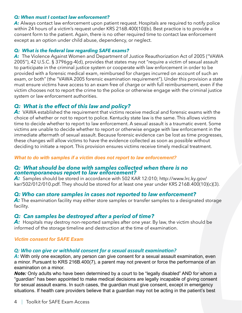#### *Q: When must I contact law enforcement?*

A: Always contact law enforcement upon patient request. Hospitals are required to notify police within 24 hours of a victim's request under KRS 216B.400(10)(b). Best practice is to provide a consent form to the patient. Again, there is no other required time to contact law enforcement except as an option under child abuse, dependency, or neglect.

#### *Q: What is the federal law regarding SAFE exams?*

*A:* The Violence Against Women and Department of Justice Reauthorization Act of 2005 ("VAWA 2005"), 42 U.S.C. § 3796gg-4(d), provides that states may not "require a victim of sexual assault to participate in the criminal justice system or cooperate with law enforcement in order to be provided with a forensic medical exam, reimbursed for charges incurred on account of such an exam, or both" (the "VAWA 2005 forensic examination requirement"). Under this provision a state must ensure victims have access to an exam free of charge or with full reimbursement, even if the victim chooses not to report the crime to the police or otherwise engage with the criminal justice system or law enforcement authorities.

## *Q: What is the effect of this law and policy?*

A: VAWA established the requirement that victims receive medical and forensic exams with the choice of whether or not to report to police. Kentucky state law is the same. This allows victims time to decide whether to report to law enforcement. A sexual assault is a traumatic event. Some victims are unable to decide whether to report or otherwise engage with law enforcement in the immediate aftermath of sexual assault. Because forensic evidence can be lost as time progresses, these changes will allow victims to have the evidence collected as soon as possible without deciding to initiate a report. This provision ensures victims receive timely medical treatment.

#### *What to do with samples if a victim does not report to law enforcement?*

#### *Q: What should be done with samples collected when there is no contemporaneous report to law enforcement?*

*A:* Samples should be stored in accordance with 502 KAR 12:010; http://www.lrc.ky.gov/ kar/502/012/010.pdf. They should be stored for at least one year under KRS 216B.400(10)(c)(3).

## *Q: Who can store samples in cases not reported to law enforcement?*

A: The examination facility may either store samples or transfer samples to a designated storage facility.

## *Q: Can samples be destroyed after a period of time?*

A: Hospitals may destroy non-reported samples after one year. By law, the victim should be informed of the storage timeline and destruction at the time of examination.

#### *Victim consent for SAFE Exam*

## *Q: Who can give or withhold consent for a sexual assault examination?*

A: With only one exception, any person can give consent for a sexual assault examination, even a minor. Pursuant to KRS 216B.400(7), a parent may not prevent or force the performance of an examination on a minor.

**Note:** Only adults who have been determined by a court to be "legally disabled" AND for whom a "guardian" has been appointed to make medical decisions are legally incapable of giving consent for sexual assault exams. In such cases, the guardian must give consent, except in emergency situations. If health care providers believe that a guardian may not be acting in the patient's best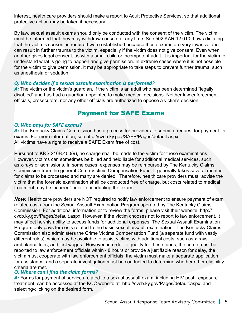interest, health care providers should make a report to Adult Protective Services, so that additional protective action may be taken if necessary.

By law, sexual assault exams should only be conducted with the consent of the victim. The victim must be informed that they may withdraw consent at any time. See 502 KAR 12:010. Laws dictating that the victim's consent is required were established because these exams are very invasive and can result in further trauma to the victim, especially if the victim does not give consent. Even when another gives legal consent, as with a small child or incompetent adult, it is important for the victim to understand what is going to happen and give permission. In extreme cases where it is not possible for the victim to give permission, it may be appropriate to take steps to prevent further trauma, such as anesthesia or sedation.

#### *Q: Who decides if a sexual assault examination is performed?*

A: The victim or the victim's guardian, if the victim is an adult who has been determined "legally disabled" and has had a guardian appointed to make medical decisions. Neither law enforcement officials, prosecutors, nor any other officials are authorized to oppose a victim's decision.

# Payment for SAFE Exams

#### *Q: Who pays for SAFE exams?*

A: The Kentucky Claims Commission has a process for providers to submit a request for payment for exams. For more information, see http://cvcb.ky.gov/SAEP/Pages/default.aspx All victims have a right to receive a SAFE Exam free of cost.

Pursuant to KRS 216B.400(9), no charge shall be made to the victim for these examinations. However, victims can sometimes be billed and held liable for additional medical services, such as x-rays or admissions. In some cases, expenses may be reimbursed by The Kentucky Claims Commission from the general Crime Victims Compensation Fund. It generally takes several months for claims to be processed and many are denied. Therefore, health care providers must "advise the victim that the forensic examination shall be conducted free of charge, but costs related to medical treatment may be incurred" prior to conducting the exam.

*Note:* Health care providers are NOT required to notify law enforcement to ensure payment of exam related costs from the Sexual Assault Examination Program operated by The Kentucky Claims Commission. For additional information or to review the forms, please visit their website, http:// cvcb.ky.gov/Pages/default.aspx. However, if the victim chooses not to report to law enforcement, it may affect her/his ability to access funds for additional expenses. The Sexual Assault Examination Program only pays for costs related to the basic sexual assault examination. The Kentucky Claims Commission also administers the Crime Victims Compensation Fund (a separate fund with vastly different rules), which may be available to assist victims with additional costs, such as x-rays, ambulance fees, and lost wages. However, in order to qualify for these funds, the crime must be reported to law enforcement officials within 48 hours or provide a justifiable reason for delay, the victim must cooperate with law enforcement officials, the victim must make a separate application for assistance, and a separate investigation must be conducted to determine whether other eligibility criteria are met.

#### *Q: Where can I find the claim forms?*

A: Forms for payment of services related to a sexual assault exam, including HIV post -exposure treatment, can be accessed at the KCC website at http://cvcb.ky.gov/Pages/default.aspx and selecting/clicking on the desired form.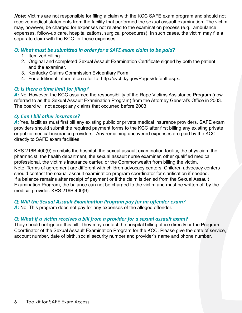*Note:* Victims are not responsible for filing a claim with the KCC SAFE exam program and should not receive medical statements from the facility that performed the sexual assault examination. The victim may, however, be charged for expenses not related to the examination process (e.g., ambulance expenses, follow-up care, hospitalizations, surgical procedures). In such cases, the victim may file a separate claim with the KCC for these expenses.

#### *Q: What must be submitted in order for a SAFE exam claim to be paid?*

- 1. Itemized billing.
- 2. Original and completed Sexual Assault Examination Certificate signed by both the patient and the examiner.
- 3. Kentucky Claims Commission Evidentiary Form
- 4. For additional information refer to; http://cvcb.ky.gov/Pages/default.aspx.

#### *Q: Is there a time limit for filing?*

A: No. However, the KCC assumed the responsibility of the Rape Victims Assistance Program (now referred to as the Sexual Assault Examination Program) from the Attorney General's Office in 2003. The board will not accept any claims that occurred before 2003.

#### *Q: Can I bill other insurance?*

A: Yes, facilities must first bill any existing public or private medical insurance providers. SAFE exam providers should submit the required payment forms to the KCC after first billing any existing private or public medical insurance providers. Any remaining uncovered expenses are paid by the KCC directly to SAFE exam facilities.

KRS 216B.400(9) prohibits the hospital, the sexual assault examination facility, the physician, the pharmacist, the health department, the sexual assault nurse examiner, other qualified medical professional, the victim's insurance carrier, or the Commonwealth from billing the victim. Note: Terms of agreement are different with children advocacy centers. Children advocacy centers should contact the sexual assault examination program coordinator for clarification if needed. If a balance remains after receipt of payment or if the claim is denied from the Sexual Assault Examination Program, the balance can not be charged to the victim and must be written off by the medical provider. KRS 216B.400(9)

#### *Q: Will the Sexual Assault Examination Program pay for an offender exam?*

A: No. This program does not pay for any expenses of the alleged offender.

#### *Q: What if a victim receives a bill from a provider for a sexual assault exam?*

They should not ignore this bill. They may contact the hospital billing office directly or the Program Coordinator of the Sexual Assault Examination Program for the KCC. Please give the date of service, account number, date of birth, social security number and provider's name and phone number.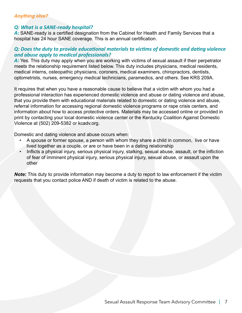#### *Anything else?*

#### *Q: What is a SANE-ready hospital?*

A: SANE-ready is a certified designation from the Cabinet for Health and Family Services that a hospital has 24 hour SANE coverage. This is an annual certification.

#### *Q: Does the duty to provide educational materials to victims of domestic and dating violence and abuse apply to medical professionals?*

A: Yes. This duty may apply when you are working with victims of sexual assault if their perpetrator meets the relationship requirement listed below. This duty includes physicians, medical residents, medical interns, osteopathic physicians, coroners, medical examiners, chiropractors, dentists, optometrists, nurses, emergency medical technicians, paramedics, and others. See KRS 209A.

It requires that when you have a reasonable cause to believe that a victim with whom you had a professional interaction has experienced domestic violence and abuse or dating violence and abuse, that you provide them with educational materials related to domestic or dating violence and abuse, referral information for accessing regional domestic violence programs or rape crisis centers, and information about how to access protective orders. Materials may be accessed online or provided in print by contacting your local domestic violence center or the Kentucky Coalition Against Domestic Violence at (502) 209-5382 or kcadv.org.

Domestic and dating violence and abuse occurs when:

- A spouse or former spouse, a person with whom they share a child in common, live or have lived together as a couple, or are or have been in a dating relationship
- Inflicts a physical injury, serious physical injury, stalking, sexual abuse, assault, or the infliction of fear of imminent physical injury, serious physical injury, sexual abuse, or assault upon the other

*Note:* This duty to provide information may become a duty to report to law enforcement if the victim requests that you contact police AND if death of victim is related to the abuse.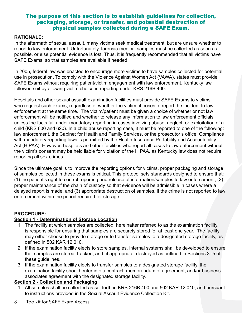#### The purpose of this section is to establish guidelines for collection, packaging, storage, or transfer, and potential destruction of physical samples collected during a SAFE Exam.

#### **Rationale:**

In the aftermath of sexual assault, many victims seek medical treatment, but are unsure whether to report to law enforcement. Unfortunately, forensic-medical samples must be collected as soon as possible, or else potential evidence is lost. Thus, it is frequently recommended that all victims have SAFE Exams, so that samples are available if needed.

In 2005, federal law was enacted to encourage more victims to have samples collected for potential use in prosecution. To comply with the Violence Against Women Act (VAWA), states must provide SAFE Exams without requiring patient/victim engagement with law enforcement. Kentucky law followed suit by allowing victim choice in reporting under KRS 216B.400.

Hospitals and other sexual assault examination facilities must provide SAFE Exams to victims who request such exams, regardless of whether the victim chooses to report the incident to law enforcement at the same time. The victim/patient must be given a choice of whether or not law enforcement will be notified and whether to release any information to law enforcement officials unless the facts fall under mandatory reporting in cases involving abuse, neglect, or exploitation of a child (KRS 600 and 620). In a child abuse reporting case, it must be reported to one of the following: law enforcement, the Cabinet for Health and Family Services, or the prosecutor's office. Compliance with mandatory reporting laws is permitted by the Health Insurance Portability and Accountability Act (HIPAA). However, hospitals and other facilities who report all cases to law enforcement without the victim's consent may be held liable for violation of the HIPAA, as Kentucky law does not require reporting all sex crimes.

Since the ultimate goal is to improve the reporting options for victims, proper packaging and storage of samples collected in these exams is critical. This protocol sets standards designed to ensure that: (1) the patient's right to control reporting and release of information/samples to law enforcement, (2) proper maintenance of the chain of custody so that evidence will be admissible in cases where a delayed report is made, and (3) appropriate destruction of samples, if the crime is not reported to law enforcement within the period required for storage.

#### **PROCEDURE:**

#### **Section 1 - Determination of Storage Location**

- 1. The facility at which samples are collected, hereinafter referred to as the examination facility, is responsible for ensuring that samples are securely stored for at least one year. The facility may either choose to provide storage or to transfer samples to a designated storage facility, as defined in 502 KAR 12:010.
- 2. If the examination facility elects to store samples, internal systems shall be developed to ensure that samples are stored, tracked, and, if appropriate, destroyed as outlined in Sections 3 -5 of these guidelines.
- 3. If the examination facility elects to transfer samples to a designated storage facility, the examination facility should enter into a contract, memorandum of agreement, and/or business associates agreement with the designated storage facility.

#### **Section 2 - Collection and Packaging**

1. All samples shall be collected as set forth in KRS 216B.400 and 502 KAR 12:010, and pursuant to instructions provided in the Sexual Assault Evidence Collection Kit.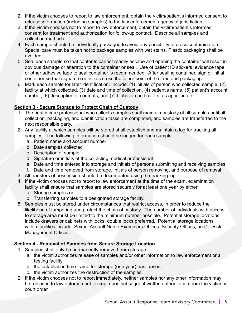- 2. If the victim chooses to report to law enforcement, obtain the victim/patient's informed consent to release information (including samples) to the law enforcement agency of jurisdiction.
- 3. If the victim chooses not to report to law enforcement, obtain the victim/patient's informed consent for treatment and authorization for follow-up contact. Describe all samples and collection methods.
- 4. Each sample should be individually packaged to avoid any possibility of cross contamination. Special care must be taken not to package samples with wet stains. Plastic packaging shall be avoided
- 5. Seal each sample so that contents cannot readily escape and opening the container will result in obvious damage or alteration to the container or seal. Use of patient ID stickers, evidence tape, or other adhesive tape to seal container is recommended. After sealing container, sign or initial container so that signature or initials cross the joiner point of the tape and packaging.
- 6. Mark each sample for later identification. Include: (1) initials of person who collected sample, (2) facility at which collected, (3) date and time of collection, (4) patient's name, (5) patient's account number, (6) description of contents, and (7) biohazard indicators, as appropriate.

#### **Section 3 - Secure Storage to Protect Chain of Custody**

- 1. The health care professional who collects samples shall maintain custody of all samples until all collection, packaging, and identification tasks are completed, and samples are transferred to the next responsible party.
- 2. Any facility at which samples will be stored shall establish and maintain a log for tracking all samples. The following information should be logged for each sample:
	- a. Patient name and account number
	- b. Date samples collected
	- c. Description of sample
	- d. Signature or initials of the collecting medical professional
	- e. Date and time entered into storage and initials of persons submitting and receiving samples
	- f. Date and time removed from storage, initials of person removing, and purpose of removal
- 3. All transfers of possession should be documented using the tracking log.
- 4. If the victim chooses not to report to law enforcement at the time of the exam, examination facility shall ensure that samples are stored securely for at least one year by either:
	- a. Storing samples or
	- b. Transferring samples to a designated storage facility.
- 5. Samples must be stored under circumstances that restrict access, in order to reduce the likelihood of tampering and protect the chain of custody. The number of individuals with access to storage area must be limited to the minimum number possible. Potential storage locations include drawers or cabinets with locks, double locks preferred. Potential storage locations within facilities include: Sexual Assault Nurse Examiners Offices, Security Offices, and/or Risk Management Offices.

## **Section 4 - Removal of Samples from Secure Storage Location**

- 1. Samples shall only be permanently removed from storage if:
	- a. the victim authorizes release of samples and/or other information to law enforcement or a testing facility;
	- b. the established time frame for storage (one year) has lapsed;
	- c. the victim authorizes the destruction of the samples.
- 2. If the victim chooses not to report immediately, neither samples nor any other information may be released to law enforcement, except upon subsequent written authorization from the victim or court order.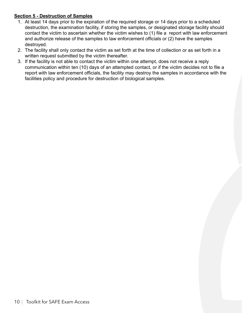#### **Section 5 - Destruction of Samples**

- 1. At least 14 days prior to the expiration of the required storage or 14 days prior to a scheduled destruction, the examination facility, if storing the samples, or designated storage facility should contact the victim to ascertain whether the victim wishes to (1) file a report with law enforcement and authorize release of the samples to law enforcement officials or (2) have the samples destroyed.
- 2. The facility shall only contact the victim as set forth at the time of collection or as set forth in a written request submitted by the victim thereafter.
- 3. If the facility is not able to contact the victim within one attempt, does not receive a reply communication within ten (10) days of an attempted contact, or if the victim decides not to file a report with law enforcement officials, the facility may destroy the samples in accordance with the facilities policy and procedure for destruction of biological samples.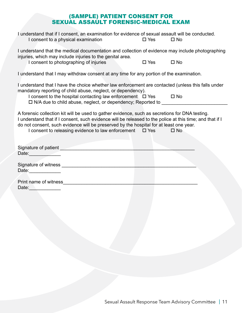## (SAMPLE) PATIENT CONSENT FOR SEXUAL ASSAULT FORENSIC-MEDICAL EXAM

| I understand that if I consent, an examination for evidence of sexual assault will be conducted.<br>I consent to a physical examination                                                                                                                                                                                                                                  | $\square$ Yes | $\square$ No |
|--------------------------------------------------------------------------------------------------------------------------------------------------------------------------------------------------------------------------------------------------------------------------------------------------------------------------------------------------------------------------|---------------|--------------|
| I understand that the medical documentation and collection of evidence may include photographing<br>injuries, which may include injuries to the genital area.                                                                                                                                                                                                            |               |              |
| I consent to photographing of injuries                                                                                                                                                                                                                                                                                                                                   | $\square$ Yes | $\square$ No |
| I understand that I may withdraw consent at any time for any portion of the examination.                                                                                                                                                                                                                                                                                 |               |              |
| I understand that I have the choice whether law enforcement are contacted (unless this falls under<br>mandatory reporting of child abuse, neglect, or dependency).                                                                                                                                                                                                       |               |              |
| I consent to the hospital contacting law enforcement $\Box$ Yes $\Box$ No<br>□ N/A due to child abuse, neglect, or dependency; Reported to __________________                                                                                                                                                                                                            |               |              |
| A forensic collection kit will be used to gather evidence, such as secretions for DNA testing.<br>I understand that if I consent, such evidence will be released to the police at this time; and that if I<br>do not consent, such evidence will be preserved by the hospital for at least one year.<br>I consent to releasing evidence to law enforcement $\square$ Yes |               | $\square$ No |
| Date: <u>Date:</u>                                                                                                                                                                                                                                                                                                                                                       |               |              |
|                                                                                                                                                                                                                                                                                                                                                                          |               |              |
| Date: and the state of the state of the state of the state of the state of the state of the state of the state of the state of the state of the state of the state of the state of the state of the state of the state of the                                                                                                                                            |               |              |
| Print name of witness experience of the state of the state of the state of the state of the state of the state of the state of the state of the state of the state of the state of the state of the state of the state of the                                                                                                                                            |               |              |
| Date: Date:                                                                                                                                                                                                                                                                                                                                                              |               |              |
|                                                                                                                                                                                                                                                                                                                                                                          |               |              |
|                                                                                                                                                                                                                                                                                                                                                                          |               |              |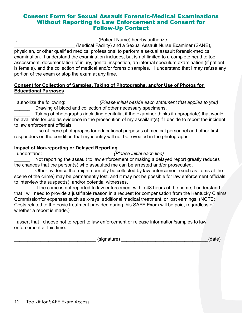#### Consent Form for Sexual Assault Forensic-Medical Examinations Without Reporting to Law Enforcement and Consent for Follow-Up Contact

I, **I**, **E** Example 2011 **I** Example 2011 (Patient Name) hereby authorize

\_\_\_\_\_\_\_\_\_\_\_\_\_\_\_\_\_\_\_\_\_\_\_ (Medical Facility) and a Sexual Assault Nurse Examiner (SANE), physician, or other qualified medical professional to perform a sexual assault forensic-medical examination. I understand the examination includes, but is not limited to a complete head to toe assessment, documentation of injury, genital inspection, an internal speculum examination (if patient is female), and the collection of medical and/or forensic samples. I understand that I may refuse any portion of the exam or stop the exam at any time.

#### **Consent for Collection of Samples, Taking of Photographs, and/or Use of Photos for Educational Purposes**

I authorize the following: *(Please initial beside each statement that applies to you)* Drawing of blood and collection of other necessary specimens.

Taking of photographs (including genitalia, if the examiner thinks it appropriate) that would be available for use as evidence in the prosecution of my assailant(s) if I decide to report the incident to law enforcement officials.

Use of these photographs for educational purposes of medical personnel and other first responders on the condition that my identity will not be revealed in the photographs.

#### **Impact of Non-reporting or Delayed Reporting**

I understand: *(Please initial each line)*

Not reporting the assault to law enforcement or making a delayed report greatly reduces the chances that the person(s) who assaulted me can be arrested and/or prosecuted.

Other evidence that might normally be collected by law enforcement (such as items at the scene of the crime) may be permanently lost, and it may not be possible for law enforcement officials to interview the suspect(s), and/or potential witnesses.

If the crime is not reported to law enforcement within 48 hours of the crime, I understand that I will need to provide a justifiable reason in a request for compensation from the Kentucky Claims Commissionfor expenses such as x-rays, additional medical treatment, or lost earnings. (NOTE: Costs related to the basic treatment provided during this SAFE Exam will be paid, regardless of whether a report is made.)

I assert that I choose not to report to law enforcement or release information/samples to law enforcement at this time.

\_\_\_\_\_\_\_\_\_\_\_\_\_\_\_\_\_\_\_\_\_\_\_\_\_\_\_\_\_\_\_ (signature) \_\_\_\_\_\_\_\_\_\_\_\_\_\_\_\_\_\_\_\_\_\_\_\_\_\_\_\_\_\_\_\_\_(date)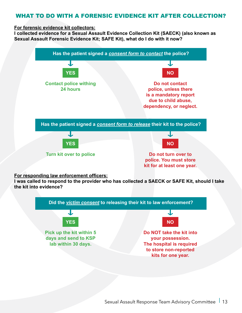## WHAT TO DO WITH A FORENSIC EVIDENCE KIT AFTER COLLECTION?

#### **For forensic evidence kit collectors:**

**I collected evidence for a Sexual Assault Evidence Collection Kit (SAECK) (also known as Sexual Assault Forensic Evidence Kit; SAFE Kit), what do I do with it now?**



#### **For responding law enforcement officers:**

**I was called to respond to the provider who has collected a SAECK or SAFE Kit, should I take the kit into evidence?**

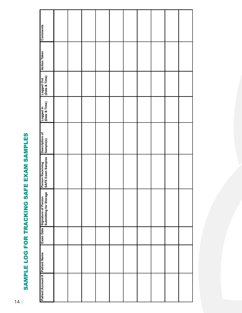# SAMPLE LOG FOR TRACKING SAFE EXAM SAMPLES Sample Log for Tracking SAFE Exam Samples

| Comments                                                       |  |  |  |  |  |
|----------------------------------------------------------------|--|--|--|--|--|
| Action Taken                                                   |  |  |  |  |  |
| Logged Out<br>CDate & Time)                                    |  |  |  |  |  |
| Logged In<br>CDate & Time)                                     |  |  |  |  |  |
| Description of<br>Sample(s)                                    |  |  |  |  |  |
| Person Receiving<br>SAFE Exam Samples                          |  |  |  |  |  |
| <b>Exam Date</b> Signature of Person<br>Submitting for Storage |  |  |  |  |  |
|                                                                |  |  |  |  |  |
|                                                                |  |  |  |  |  |
| Patient Account # Patient Name                                 |  |  |  |  |  |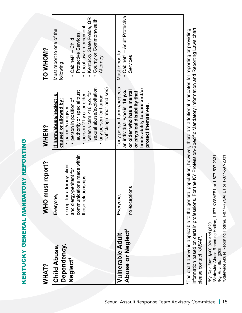|      | $\overline{1}$<br>ļ<br>i            |
|------|-------------------------------------|
|      |                                     |
|      | ,<br>í<br>l<br>i                    |
|      |                                     |
|      | - - - - - - 白山 - 1 -<br>l<br>Ú<br>l |
| 、これは |                                     |
| Ī    | l                                   |

| WHAT?                                                     | WHO must report?                                                                                                        | <b>NHEN?</b>                                                                                                                                                                                                                                                                   | TO WHOM?                                                                                                                                                                                               |
|-----------------------------------------------------------|-------------------------------------------------------------------------------------------------------------------------|--------------------------------------------------------------------------------------------------------------------------------------------------------------------------------------------------------------------------------------------------------------------------------|--------------------------------------------------------------------------------------------------------------------------------------------------------------------------------------------------------|
| Dependency,<br><b>Child Abuse</b><br>Neglect <sup>1</sup> | communications made within<br>except for attorney-client<br>and clergy-penitent for<br>those relationships<br>Everyone, | sexual abuse/exploitation<br>trafficking (labor and sex)<br>authority or special trust<br>when victim <16 y.o. for<br><u>If harm/abuse/neglect is</u><br>person 21 y.o. or older<br>any person for human<br>person in position of<br>caused or allowed by:<br>parent/caregiver | Kentucky State Police, OR<br>County or Commonwealth<br>Local law enforcement,<br>Must report to one of the<br>Protective Services,<br>$\bullet$ Cabinet <sup>2</sup> - Child<br>Attorney<br>following: |
| Abuse or Neglect <sup>3</sup><br><b>Vulnerable Adult</b>  | no exceptions<br>Everyone,                                                                                              | If any person harms/neglects<br>limits ability to care and/or<br>an individual who is 18 y.o.<br>or older who has a mental<br>or physical disability that<br>protect themselves.                                                                                               | · Cabinet <sup>4</sup> - Adult Protective<br>Must report to:<br>Services                                                                                                                               |
|                                                           |                                                                                                                         | *The chart above is applicable to the general population, bowever, there are additional mandates for reporting providing                                                                                                                                                       |                                                                                                                                                                                                        |

information based on certain professions. For the KY Profession-Specific Mandatory Information and Reporting Laws chart, ° I ne chart above is applicable to the general population, nowever, there are additional mandates for reporting or providing<br>information based on certain professions. For the KY Profession-Specific Mandatory Information \*The chart above is applicable to the general population, however, there are additional mandates for reporting or providing please contact KASAP. please contact KASAP.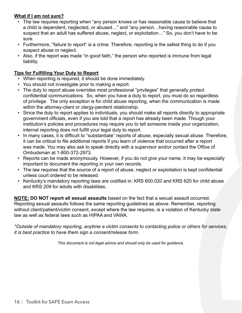#### **What if I am not sure?**

- The law requires reporting when "any person knows or has reasonable cause to believe that a child is dependent, neglected, or abused…" and "any person…having reasonable cause to suspect that an adult has suffered abuse, neglect, or exploitation…" So, you don't have to be sure.
- Furthermore, "failure to report" is a crime. Therefore, reporting is the safest thing to do if you suspect abuse or neglect.
- Also, if the report was made "in good faith," the person who reported is immune from legal liability.

#### **Tips for Fulfilling Your Duty to Report**

- When reporting is required, it should be done immediately.
- You should not investigate prior to making a report.
- The duty to report abuse overrides most professional "privileges" that generally protect confidential communications. So, when you have a duty to report, you must do so regardless of privilege. The only exception is for child abuse reporting, when the communication is made within the attorney-client or clergy-penitent relationship.
- Since the duty to report applies to individuals, you should make all reports directly to appropriate government officials, even if you are told that a report has already been made. Though your institution's policies and procedures may require you to tell someone inside your organization, internal reporting does not fulfill your legal duty to report.
- In many cases, it is difficult to "substantiate" reports of abuse, especially sexual abuse. Therefore, it can be critical to file additional reports if you learn of violence that occurred after a report was made. You may also ask to speak directly with a supervisor and/or contact the Office of Ombudsman at 1-800-372-2973.
- Reports can be made anonymously. However, if you do not give your name, it may be especially important to document the reporting in your own records.
- The law requires that the source of a report of abuse, neglect or exploitation is kept confidential unless court ordered to be released.
- Kentucky's mandatory reporting laws are codified in: KRS 600.020 and KRS 620 for child abuse and KRS 209 for adults with disabilities.

**NOTE: DO NOT report all sexual assaults** based on the fact that a sexual assault occurred. Reporting sexual assaults follows the same reporting guidelines as above. Remember, reporting without client/patient/victim consent, except where the law requires, is a violation of Kentucky state law as well as federal laws such as HIPAA and VAWA.

*\*Outside of mandatory reporting, anytime a victim consents to contacting police or others for services, it is best practice to have them sign a consent/release form.*

*This document is not legal advice and should only be used for guidance.*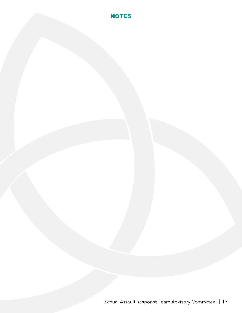